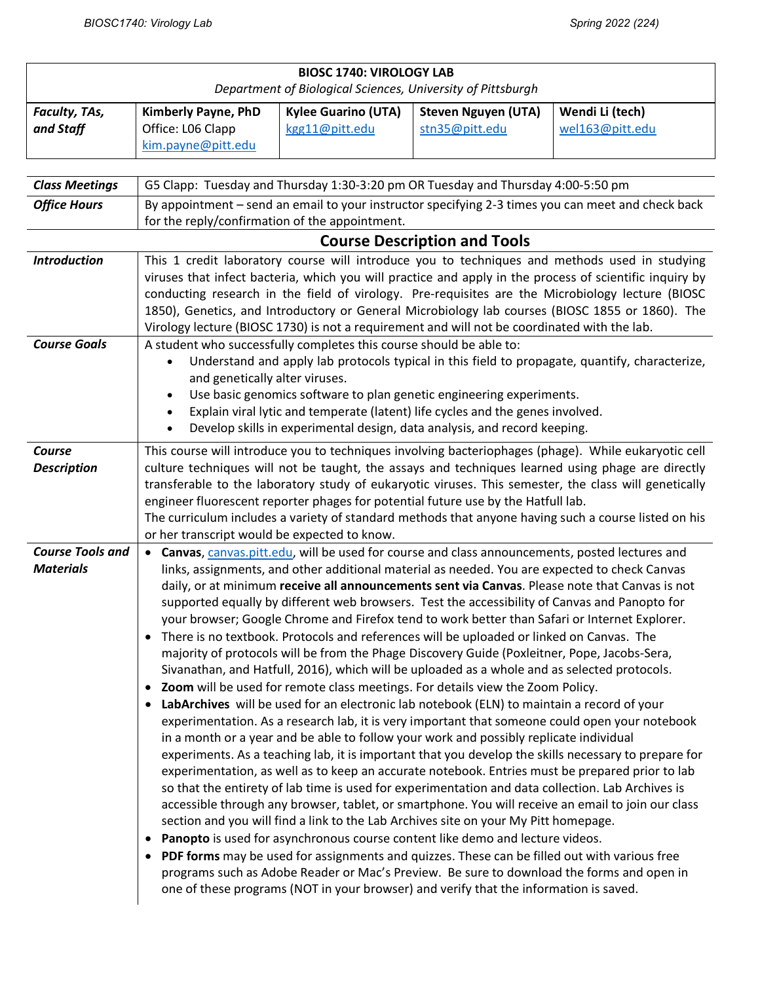| <b>BIOSC 1740: VIROLOGY LAB</b><br>Department of Biological Sciences, University of Pittsburgh |                                                                                                                                                                                                                                                                                                                                                                                                                                                                                                                                                                 |                                              |                                                                                                                                                                                                                                                                                                                                                                                                                                                                                                                                                                                                                                                                                                                                                                                                                                                                                                                                                                                                                                                                                                                                                                                                                                                                                                                                                                                                                                                |                                                                                                                                                                                                                                                                                                                                                                                                                                                                                                                                                                                                                |  |  |
|------------------------------------------------------------------------------------------------|-----------------------------------------------------------------------------------------------------------------------------------------------------------------------------------------------------------------------------------------------------------------------------------------------------------------------------------------------------------------------------------------------------------------------------------------------------------------------------------------------------------------------------------------------------------------|----------------------------------------------|------------------------------------------------------------------------------------------------------------------------------------------------------------------------------------------------------------------------------------------------------------------------------------------------------------------------------------------------------------------------------------------------------------------------------------------------------------------------------------------------------------------------------------------------------------------------------------------------------------------------------------------------------------------------------------------------------------------------------------------------------------------------------------------------------------------------------------------------------------------------------------------------------------------------------------------------------------------------------------------------------------------------------------------------------------------------------------------------------------------------------------------------------------------------------------------------------------------------------------------------------------------------------------------------------------------------------------------------------------------------------------------------------------------------------------------------|----------------------------------------------------------------------------------------------------------------------------------------------------------------------------------------------------------------------------------------------------------------------------------------------------------------------------------------------------------------------------------------------------------------------------------------------------------------------------------------------------------------------------------------------------------------------------------------------------------------|--|--|
| Faculty, TAs,<br>and Staff                                                                     | Kimberly Payne, PhD<br>Office: L06 Clapp<br>kim.payne@pitt.edu                                                                                                                                                                                                                                                                                                                                                                                                                                                                                                  | <b>Kylee Guarino (UTA)</b><br>kgg11@pitt.edu | <b>Steven Nguyen (UTA)</b><br>stn35@pitt.edu                                                                                                                                                                                                                                                                                                                                                                                                                                                                                                                                                                                                                                                                                                                                                                                                                                                                                                                                                                                                                                                                                                                                                                                                                                                                                                                                                                                                   | Wendi Li (tech)<br>wel163@pitt.edu                                                                                                                                                                                                                                                                                                                                                                                                                                                                                                                                                                             |  |  |
| <b>Class Meetings</b><br><b>Office Hours</b>                                                   | G5 Clapp: Tuesday and Thursday 1:30-3:20 pm OR Tuesday and Thursday 4:00-5:50 pm<br>By appointment - send an email to your instructor specifying 2-3 times you can meet and check back                                                                                                                                                                                                                                                                                                                                                                          |                                              |                                                                                                                                                                                                                                                                                                                                                                                                                                                                                                                                                                                                                                                                                                                                                                                                                                                                                                                                                                                                                                                                                                                                                                                                                                                                                                                                                                                                                                                |                                                                                                                                                                                                                                                                                                                                                                                                                                                                                                                                                                                                                |  |  |
|                                                                                                | for the reply/confirmation of the appointment.<br><b>Course Description and Tools</b>                                                                                                                                                                                                                                                                                                                                                                                                                                                                           |                                              |                                                                                                                                                                                                                                                                                                                                                                                                                                                                                                                                                                                                                                                                                                                                                                                                                                                                                                                                                                                                                                                                                                                                                                                                                                                                                                                                                                                                                                                |                                                                                                                                                                                                                                                                                                                                                                                                                                                                                                                                                                                                                |  |  |
| <b>Introduction</b>                                                                            | This 1 credit laboratory course will introduce you to techniques and methods used in studying<br>viruses that infect bacteria, which you will practice and apply in the process of scientific inquiry by<br>conducting research in the field of virology. Pre-requisites are the Microbiology lecture (BIOSC<br>1850), Genetics, and Introductory or General Microbiology lab courses (BIOSC 1855 or 1860). The<br>Virology lecture (BIOSC 1730) is not a requirement and will not be coordinated with the lab.                                                 |                                              |                                                                                                                                                                                                                                                                                                                                                                                                                                                                                                                                                                                                                                                                                                                                                                                                                                                                                                                                                                                                                                                                                                                                                                                                                                                                                                                                                                                                                                                |                                                                                                                                                                                                                                                                                                                                                                                                                                                                                                                                                                                                                |  |  |
| <b>Course Goals</b>                                                                            | A student who successfully completes this course should be able to:<br>Understand and apply lab protocols typical in this field to propagate, quantify, characterize,<br>and genetically alter viruses.<br>Use basic genomics software to plan genetic engineering experiments.<br>Explain viral lytic and temperate (latent) life cycles and the genes involved.<br>Develop skills in experimental design, data analysis, and record keeping.                                                                                                                  |                                              |                                                                                                                                                                                                                                                                                                                                                                                                                                                                                                                                                                                                                                                                                                                                                                                                                                                                                                                                                                                                                                                                                                                                                                                                                                                                                                                                                                                                                                                |                                                                                                                                                                                                                                                                                                                                                                                                                                                                                                                                                                                                                |  |  |
| Course<br><b>Description</b>                                                                   | This course will introduce you to techniques involving bacteriophages (phage). While eukaryotic cell<br>culture techniques will not be taught, the assays and techniques learned using phage are directly<br>transferable to the laboratory study of eukaryotic viruses. This semester, the class will genetically<br>engineer fluorescent reporter phages for potential future use by the Hatfull lab.<br>The curriculum includes a variety of standard methods that anyone having such a course listed on his<br>or her transcript would be expected to know. |                                              |                                                                                                                                                                                                                                                                                                                                                                                                                                                                                                                                                                                                                                                                                                                                                                                                                                                                                                                                                                                                                                                                                                                                                                                                                                                                                                                                                                                                                                                |                                                                                                                                                                                                                                                                                                                                                                                                                                                                                                                                                                                                                |  |  |
| <b>Course Tools and</b><br><b>Materials</b>                                                    | $\bullet$<br>$\bullet$<br>$\bullet$<br>٠<br>$\bullet$                                                                                                                                                                                                                                                                                                                                                                                                                                                                                                           |                                              | Canvas, canvas.pitt.edu, will be used for course and class announcements, posted lectures and<br>links, assignments, and other additional material as needed. You are expected to check Canvas<br>supported equally by different web browsers. Test the accessibility of Canvas and Panopto for<br>your browser; Google Chrome and Firefox tend to work better than Safari or Internet Explorer.<br>• There is no textbook. Protocols and references will be uploaded or linked on Canvas. The<br>majority of protocols will be from the Phage Discovery Guide (Poxleitner, Pope, Jacobs-Sera,<br>Sivanathan, and Hatfull, 2016), which will be uploaded as a whole and as selected protocols.<br>Zoom will be used for remote class meetings. For details view the Zoom Policy.<br>LabArchives will be used for an electronic lab notebook (ELN) to maintain a record of your<br>in a month or a year and be able to follow your work and possibly replicate individual<br>so that the entirety of lab time is used for experimentation and data collection. Lab Archives is<br>section and you will find a link to the Lab Archives site on your My Pitt homepage.<br>Panopto is used for asynchronous course content like demo and lecture videos.<br>PDF forms may be used for assignments and quizzes. These can be filled out with various free<br>one of these programs (NOT in your browser) and verify that the information is saved. | daily, or at minimum receive all announcements sent via Canvas. Please note that Canvas is not<br>experimentation. As a research lab, it is very important that someone could open your notebook<br>experiments. As a teaching lab, it is important that you develop the skills necessary to prepare for<br>experimentation, as well as to keep an accurate notebook. Entries must be prepared prior to lab<br>accessible through any browser, tablet, or smartphone. You will receive an email to join our class<br>programs such as Adobe Reader or Mac's Preview. Be sure to download the forms and open in |  |  |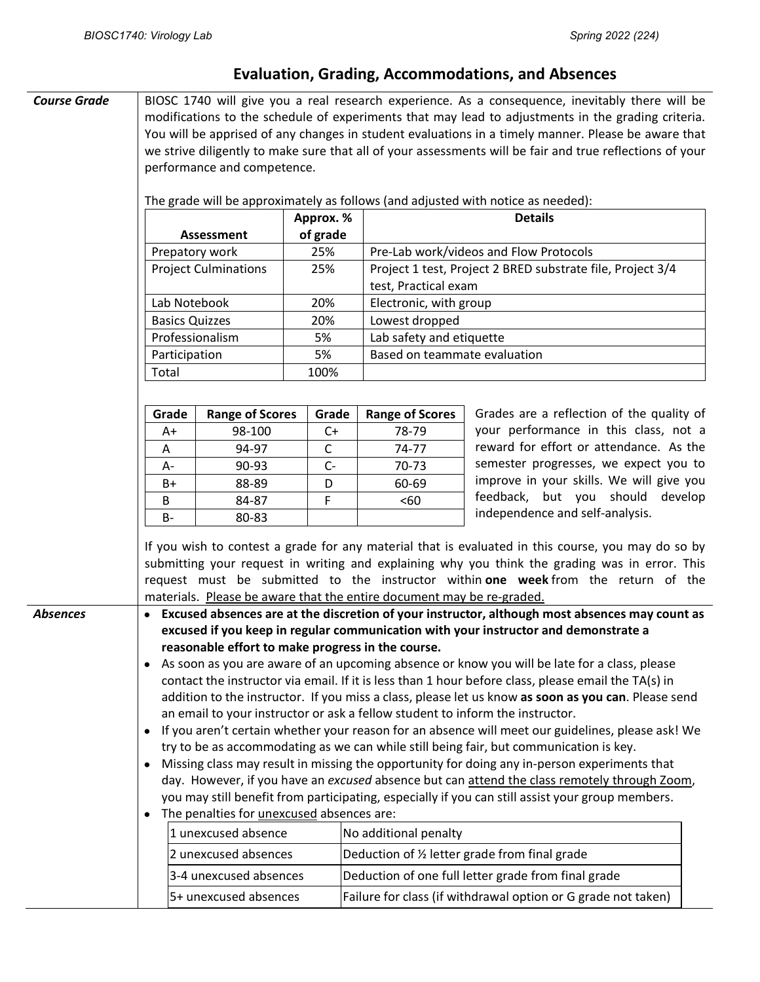## **Evaluation, Grading, Accommodations, and Absences**

| <b>Course Grade</b> | performance and competence.<br>Approx. %<br>Assessment<br>25%<br>Prepatory work<br><b>Project Culminations</b><br>25%<br>Lab Notebook<br>20%<br><b>Basics Quizzes</b><br>20%<br>Professionalism<br>5%<br>5%<br>Participation<br>Total<br>100% |                                                   | of grade             | BIOSC 1740 will give you a real research experience. As a consequence, inevitably there will be<br>modifications to the schedule of experiments that may lead to adjustments in the grading criteria.<br>You will be apprised of any changes in student evaluations in a timely manner. Please be aware that<br>we strive diligently to make sure that all of your assessments will be fair and true reflections of your<br>The grade will be approximately as follows (and adjusted with notice as needed):<br><b>Details</b><br>Pre-Lab work/videos and Flow Protocols<br>Project 1 test, Project 2 BRED substrate file, Project 3/4<br>test, Practical exam<br>Electronic, with group<br>Lowest dropped<br>Lab safety and etiquette<br>Based on teammate evaluation |                                                                                                                                                                                                                                                                                            |  |
|---------------------|-----------------------------------------------------------------------------------------------------------------------------------------------------------------------------------------------------------------------------------------------|---------------------------------------------------|----------------------|------------------------------------------------------------------------------------------------------------------------------------------------------------------------------------------------------------------------------------------------------------------------------------------------------------------------------------------------------------------------------------------------------------------------------------------------------------------------------------------------------------------------------------------------------------------------------------------------------------------------------------------------------------------------------------------------------------------------------------------------------------------------|--------------------------------------------------------------------------------------------------------------------------------------------------------------------------------------------------------------------------------------------------------------------------------------------|--|
|                     |                                                                                                                                                                                                                                               |                                                   |                      |                                                                                                                                                                                                                                                                                                                                                                                                                                                                                                                                                                                                                                                                                                                                                                        |                                                                                                                                                                                                                                                                                            |  |
|                     | Grade                                                                                                                                                                                                                                         | <b>Range of Scores</b>                            | Grade                | <b>Range of Scores</b>                                                                                                                                                                                                                                                                                                                                                                                                                                                                                                                                                                                                                                                                                                                                                 | Grades are a reflection of the quality of<br>your performance in this class, not a                                                                                                                                                                                                         |  |
|                     | A+<br>Α                                                                                                                                                                                                                                       | 98-100<br>94-97                                   | $C+$<br>$\mathsf{C}$ | 78-79<br>74-77                                                                                                                                                                                                                                                                                                                                                                                                                                                                                                                                                                                                                                                                                                                                                         | reward for effort or attendance. As the                                                                                                                                                                                                                                                    |  |
|                     | A-                                                                                                                                                                                                                                            | 90-93                                             | $C -$                | 70-73                                                                                                                                                                                                                                                                                                                                                                                                                                                                                                                                                                                                                                                                                                                                                                  | semester progresses, we expect you to                                                                                                                                                                                                                                                      |  |
|                     | B+                                                                                                                                                                                                                                            | 88-89                                             | D                    | 60-69                                                                                                                                                                                                                                                                                                                                                                                                                                                                                                                                                                                                                                                                                                                                                                  | improve in your skills. We will give you                                                                                                                                                                                                                                                   |  |
|                     | $\sf B$                                                                                                                                                                                                                                       | 84-87                                             | F                    | <60                                                                                                                                                                                                                                                                                                                                                                                                                                                                                                                                                                                                                                                                                                                                                                    | feedback, but you should develop                                                                                                                                                                                                                                                           |  |
|                     | $B -$                                                                                                                                                                                                                                         | 80-83                                             |                      |                                                                                                                                                                                                                                                                                                                                                                                                                                                                                                                                                                                                                                                                                                                                                                        | independence and self-analysis.                                                                                                                                                                                                                                                            |  |
|                     |                                                                                                                                                                                                                                               |                                                   |                      | materials. Please be aware that the entire document may be re-graded.                                                                                                                                                                                                                                                                                                                                                                                                                                                                                                                                                                                                                                                                                                  | If you wish to contest a grade for any material that is evaluated in this course, you may do so by<br>submitting your request in writing and explaining why you think the grading was in error. This<br>request must be submitted to the instructor within one week from the return of the |  |
| <b>Absences</b>     |                                                                                                                                                                                                                                               |                                                   |                      |                                                                                                                                                                                                                                                                                                                                                                                                                                                                                                                                                                                                                                                                                                                                                                        | Excused absences are at the discretion of your instructor, although most absences may count as                                                                                                                                                                                             |  |
|                     |                                                                                                                                                                                                                                               |                                                   |                      |                                                                                                                                                                                                                                                                                                                                                                                                                                                                                                                                                                                                                                                                                                                                                                        | excused if you keep in regular communication with your instructor and demonstrate a                                                                                                                                                                                                        |  |
|                     |                                                                                                                                                                                                                                               | reasonable effort to make progress in the course. |                      |                                                                                                                                                                                                                                                                                                                                                                                                                                                                                                                                                                                                                                                                                                                                                                        | As soon as you are aware of an upcoming absence or know you will be late for a class, please                                                                                                                                                                                               |  |
|                     |                                                                                                                                                                                                                                               |                                                   |                      |                                                                                                                                                                                                                                                                                                                                                                                                                                                                                                                                                                                                                                                                                                                                                                        | contact the instructor via email. If it is less than 1 hour before class, please email the TA(s) in                                                                                                                                                                                        |  |
|                     |                                                                                                                                                                                                                                               |                                                   |                      |                                                                                                                                                                                                                                                                                                                                                                                                                                                                                                                                                                                                                                                                                                                                                                        | addition to the instructor. If you miss a class, please let us know as soon as you can. Please send                                                                                                                                                                                        |  |
|                     |                                                                                                                                                                                                                                               |                                                   |                      |                                                                                                                                                                                                                                                                                                                                                                                                                                                                                                                                                                                                                                                                                                                                                                        | an email to your instructor or ask a fellow student to inform the instructor.                                                                                                                                                                                                              |  |
|                     | $\bullet$                                                                                                                                                                                                                                     |                                                   |                      |                                                                                                                                                                                                                                                                                                                                                                                                                                                                                                                                                                                                                                                                                                                                                                        | If you aren't certain whether your reason for an absence will meet our guidelines, please ask! We                                                                                                                                                                                          |  |
|                     |                                                                                                                                                                                                                                               |                                                   |                      |                                                                                                                                                                                                                                                                                                                                                                                                                                                                                                                                                                                                                                                                                                                                                                        | try to be as accommodating as we can while still being fair, but communication is key.                                                                                                                                                                                                     |  |
|                     |                                                                                                                                                                                                                                               |                                                   |                      |                                                                                                                                                                                                                                                                                                                                                                                                                                                                                                                                                                                                                                                                                                                                                                        | Missing class may result in missing the opportunity for doing any in-person experiments that                                                                                                                                                                                               |  |
|                     |                                                                                                                                                                                                                                               |                                                   |                      |                                                                                                                                                                                                                                                                                                                                                                                                                                                                                                                                                                                                                                                                                                                                                                        | day. However, if you have an excused absence but can attend the class remotely through Zoom,                                                                                                                                                                                               |  |
|                     |                                                                                                                                                                                                                                               |                                                   |                      |                                                                                                                                                                                                                                                                                                                                                                                                                                                                                                                                                                                                                                                                                                                                                                        | you may still benefit from participating, especially if you can still assist your group members.                                                                                                                                                                                           |  |
|                     |                                                                                                                                                                                                                                               | The penalties for <i>unexcused</i> absences are:  |                      |                                                                                                                                                                                                                                                                                                                                                                                                                                                                                                                                                                                                                                                                                                                                                                        |                                                                                                                                                                                                                                                                                            |  |
|                     |                                                                                                                                                                                                                                               | 1 unexcused absence                               |                      | No additional penalty                                                                                                                                                                                                                                                                                                                                                                                                                                                                                                                                                                                                                                                                                                                                                  |                                                                                                                                                                                                                                                                                            |  |
|                     |                                                                                                                                                                                                                                               | 2 unexcused absences                              |                      |                                                                                                                                                                                                                                                                                                                                                                                                                                                                                                                                                                                                                                                                                                                                                                        | Deduction of 1/2 letter grade from final grade                                                                                                                                                                                                                                             |  |
|                     |                                                                                                                                                                                                                                               | 3-4 unexcused absences                            |                      |                                                                                                                                                                                                                                                                                                                                                                                                                                                                                                                                                                                                                                                                                                                                                                        | Deduction of one full letter grade from final grade                                                                                                                                                                                                                                        |  |
|                     |                                                                                                                                                                                                                                               | 5+ unexcused absences                             |                      |                                                                                                                                                                                                                                                                                                                                                                                                                                                                                                                                                                                                                                                                                                                                                                        | Failure for class (if withdrawal option or G grade not taken)                                                                                                                                                                                                                              |  |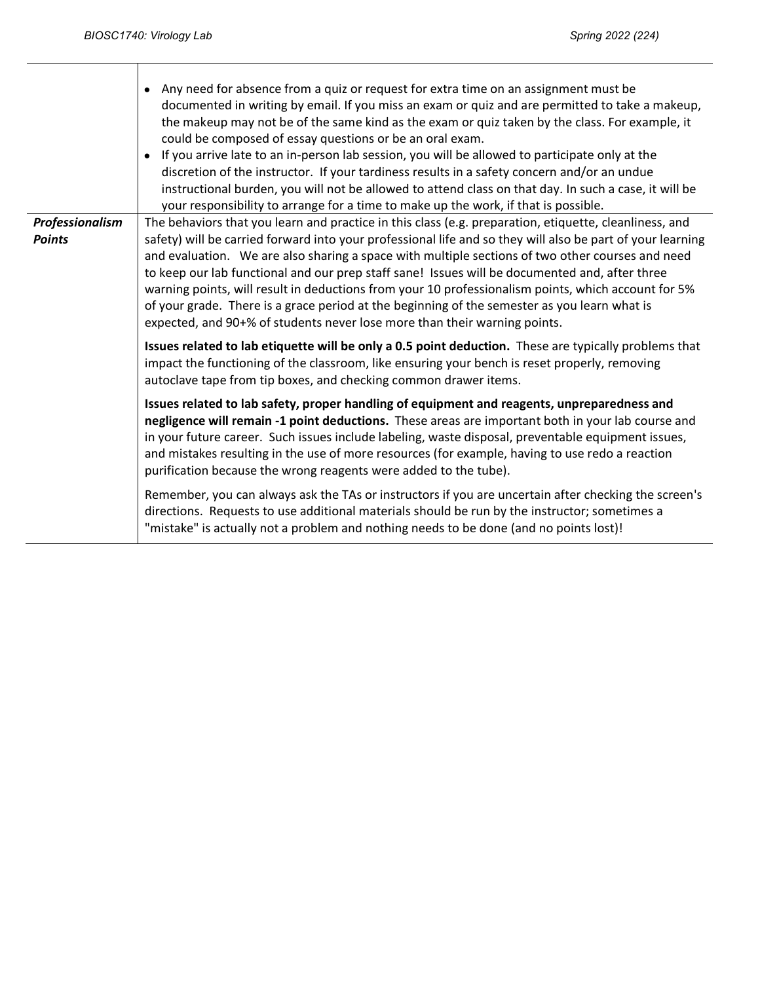|                                  | Any need for absence from a quiz or request for extra time on an assignment must be<br>$\bullet$<br>documented in writing by email. If you miss an exam or quiz and are permitted to take a makeup,<br>the makeup may not be of the same kind as the exam or quiz taken by the class. For example, it<br>could be composed of essay questions or be an oral exam.<br>If you arrive late to an in-person lab session, you will be allowed to participate only at the<br>$\bullet$<br>discretion of the instructor. If your tardiness results in a safety concern and/or an undue<br>instructional burden, you will not be allowed to attend class on that day. In such a case, it will be<br>your responsibility to arrange for a time to make up the work, if that is possible. |
|----------------------------------|---------------------------------------------------------------------------------------------------------------------------------------------------------------------------------------------------------------------------------------------------------------------------------------------------------------------------------------------------------------------------------------------------------------------------------------------------------------------------------------------------------------------------------------------------------------------------------------------------------------------------------------------------------------------------------------------------------------------------------------------------------------------------------|
| Professionalism<br><b>Points</b> | The behaviors that you learn and practice in this class (e.g. preparation, etiquette, cleanliness, and<br>safety) will be carried forward into your professional life and so they will also be part of your learning<br>and evaluation. We are also sharing a space with multiple sections of two other courses and need<br>to keep our lab functional and our prep staff sane! Issues will be documented and, after three<br>warning points, will result in deductions from your 10 professionalism points, which account for 5%<br>of your grade. There is a grace period at the beginning of the semester as you learn what is<br>expected, and 90+% of students never lose more than their warning points.                                                                  |
|                                  | Issues related to lab etiquette will be only a 0.5 point deduction. These are typically problems that<br>impact the functioning of the classroom, like ensuring your bench is reset properly, removing<br>autoclave tape from tip boxes, and checking common drawer items.                                                                                                                                                                                                                                                                                                                                                                                                                                                                                                      |
|                                  | Issues related to lab safety, proper handling of equipment and reagents, unpreparedness and<br>negligence will remain -1 point deductions. These areas are important both in your lab course and<br>in your future career. Such issues include labeling, waste disposal, preventable equipment issues,<br>and mistakes resulting in the use of more resources (for example, having to use redo a reaction<br>purification because the wrong reagents were added to the tube).                                                                                                                                                                                                                                                                                                   |
|                                  | Remember, you can always ask the TAs or instructors if you are uncertain after checking the screen's<br>directions. Requests to use additional materials should be run by the instructor; sometimes a<br>"mistake" is actually not a problem and nothing needs to be done (and no points lost)!                                                                                                                                                                                                                                                                                                                                                                                                                                                                                 |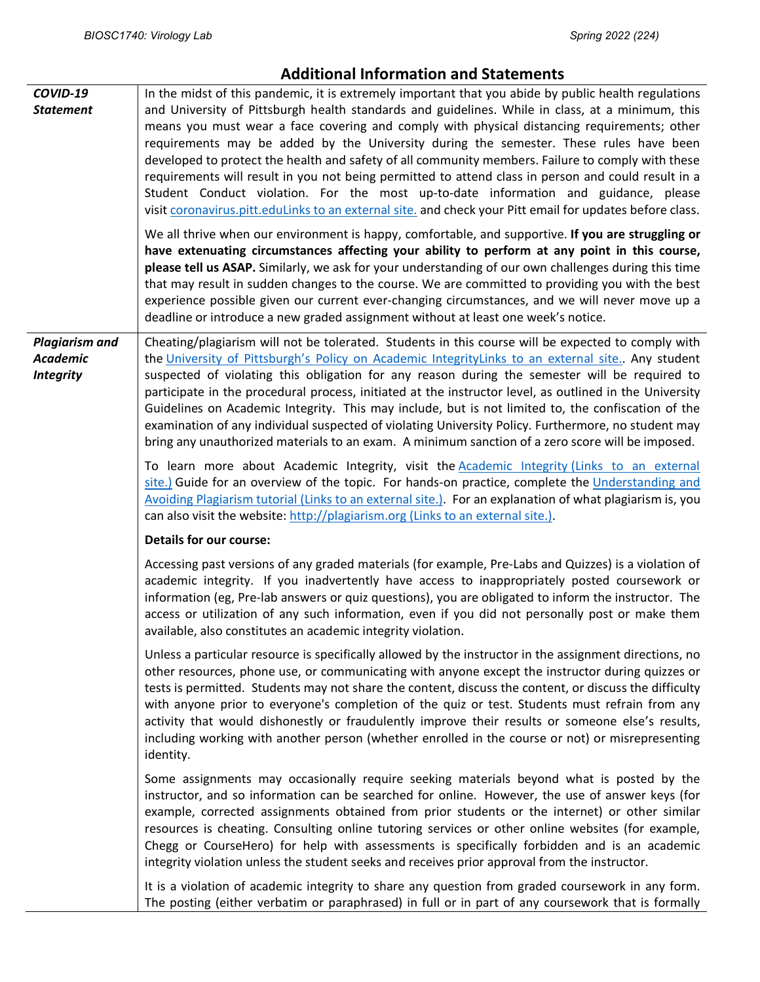| COVID-19<br><b>Statement</b>                                 | In the midst of this pandemic, it is extremely important that you abide by public health regulations<br>and University of Pittsburgh health standards and guidelines. While in class, at a minimum, this<br>means you must wear a face covering and comply with physical distancing requirements; other<br>requirements may be added by the University during the semester. These rules have been<br>developed to protect the health and safety of all community members. Failure to comply with these<br>requirements will result in you not being permitted to attend class in person and could result in a<br>Student Conduct violation. For the most up-to-date information and guidance, please<br>visit coronavirus.pitt.eduLinks to an external site, and check your Pitt email for updates before class. |
|--------------------------------------------------------------|------------------------------------------------------------------------------------------------------------------------------------------------------------------------------------------------------------------------------------------------------------------------------------------------------------------------------------------------------------------------------------------------------------------------------------------------------------------------------------------------------------------------------------------------------------------------------------------------------------------------------------------------------------------------------------------------------------------------------------------------------------------------------------------------------------------|
|                                                              | We all thrive when our environment is happy, comfortable, and supportive. If you are struggling or<br>have extenuating circumstances affecting your ability to perform at any point in this course,<br>please tell us ASAP. Similarly, we ask for your understanding of our own challenges during this time<br>that may result in sudden changes to the course. We are committed to providing you with the best<br>experience possible given our current ever-changing circumstances, and we will never move up a<br>deadline or introduce a new graded assignment without at least one week's notice.                                                                                                                                                                                                           |
| <b>Plagiarism and</b><br><b>Academic</b><br><b>Integrity</b> | Cheating/plagiarism will not be tolerated. Students in this course will be expected to comply with<br>the University of Pittsburgh's Policy on Academic IntegrityLinks to an external site Any student<br>suspected of violating this obligation for any reason during the semester will be required to<br>participate in the procedural process, initiated at the instructor level, as outlined in the University<br>Guidelines on Academic Integrity. This may include, but is not limited to, the confiscation of the<br>examination of any individual suspected of violating University Policy. Furthermore, no student may<br>bring any unauthorized materials to an exam. A minimum sanction of a zero score will be imposed.                                                                              |
|                                                              | To learn more about Academic Integrity, visit the Academic Integrity (Links to an external<br>site.) Guide for an overview of the topic. For hands-on practice, complete the Understanding and<br>Avoiding Plagiarism tutorial (Links to an external site.) For an explanation of what plagiarism is, you<br>can also visit the website: http://plagiarism.org (Links to an external site.).                                                                                                                                                                                                                                                                                                                                                                                                                     |
|                                                              | <b>Details for our course:</b>                                                                                                                                                                                                                                                                                                                                                                                                                                                                                                                                                                                                                                                                                                                                                                                   |
|                                                              | Accessing past versions of any graded materials (for example, Pre-Labs and Quizzes) is a violation of<br>academic integrity. If you inadvertently have access to inappropriately posted coursework or<br>information (eg, Pre-lab answers or quiz questions), you are obligated to inform the instructor. The<br>access or utilization of any such information, even if you did not personally post or make them<br>available, also constitutes an academic integrity violation.                                                                                                                                                                                                                                                                                                                                 |
|                                                              | Unless a particular resource is specifically allowed by the instructor in the assignment directions, no<br>other resources, phone use, or communicating with anyone except the instructor during quizzes or<br>tests is permitted. Students may not share the content, discuss the content, or discuss the difficulty<br>with anyone prior to everyone's completion of the quiz or test. Students must refrain from any<br>activity that would dishonestly or fraudulently improve their results or someone else's results,<br>including working with another person (whether enrolled in the course or not) or misrepresenting<br>identity.                                                                                                                                                                     |
|                                                              | Some assignments may occasionally require seeking materials beyond what is posted by the<br>instructor, and so information can be searched for online. However, the use of answer keys (for<br>example, corrected assignments obtained from prior students or the internet) or other similar<br>resources is cheating. Consulting online tutoring services or other online websites (for example,<br>Chegg or CourseHero) for help with assessments is specifically forbidden and is an academic<br>integrity violation unless the student seeks and receives prior approval from the instructor.                                                                                                                                                                                                                |
|                                                              | It is a violation of academic integrity to share any question from graded coursework in any form.<br>The posting (either verbatim or paraphrased) in full or in part of any coursework that is formally                                                                                                                                                                                                                                                                                                                                                                                                                                                                                                                                                                                                          |

## **Additional Information and Statements**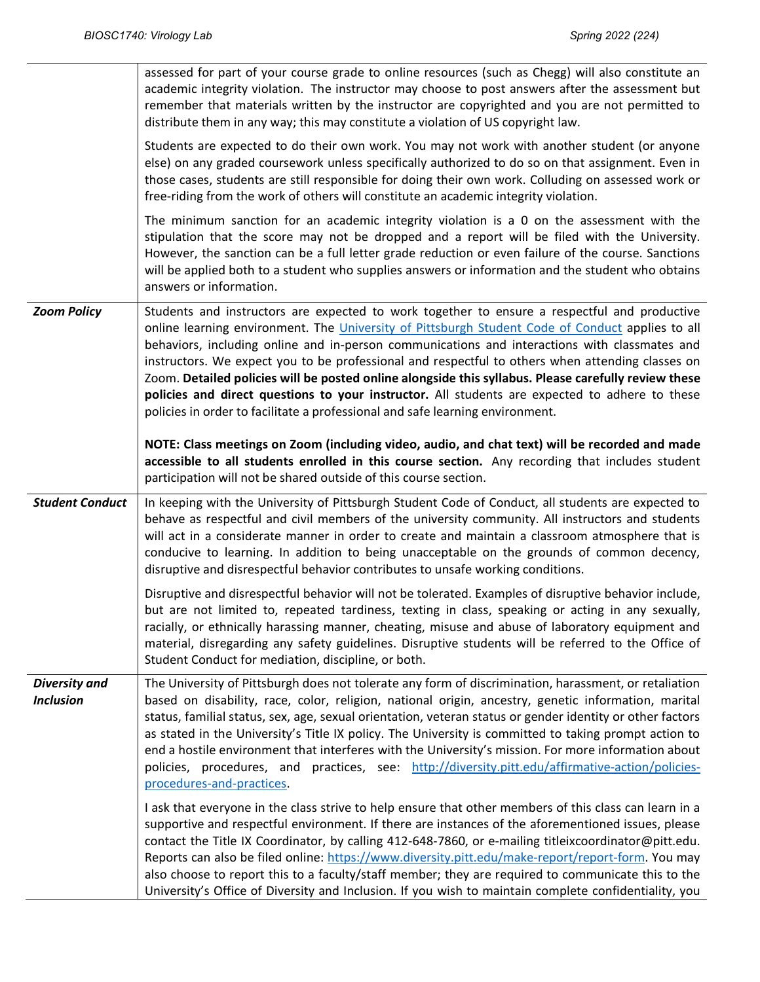|                                          | assessed for part of your course grade to online resources (such as Chegg) will also constitute an<br>academic integrity violation. The instructor may choose to post answers after the assessment but<br>remember that materials written by the instructor are copyrighted and you are not permitted to<br>distribute them in any way; this may constitute a violation of US copyright law.                                                                                                                                                                                                                                                                                                     |
|------------------------------------------|--------------------------------------------------------------------------------------------------------------------------------------------------------------------------------------------------------------------------------------------------------------------------------------------------------------------------------------------------------------------------------------------------------------------------------------------------------------------------------------------------------------------------------------------------------------------------------------------------------------------------------------------------------------------------------------------------|
|                                          | Students are expected to do their own work. You may not work with another student (or anyone<br>else) on any graded coursework unless specifically authorized to do so on that assignment. Even in<br>those cases, students are still responsible for doing their own work. Colluding on assessed work or<br>free-riding from the work of others will constitute an academic integrity violation.                                                                                                                                                                                                                                                                                                |
|                                          | The minimum sanction for an academic integrity violation is a 0 on the assessment with the<br>stipulation that the score may not be dropped and a report will be filed with the University.<br>However, the sanction can be a full letter grade reduction or even failure of the course. Sanctions<br>will be applied both to a student who supplies answers or information and the student who obtains<br>answers or information.                                                                                                                                                                                                                                                               |
| <b>Zoom Policy</b>                       | Students and instructors are expected to work together to ensure a respectful and productive<br>online learning environment. The University of Pittsburgh Student Code of Conduct applies to all<br>behaviors, including online and in-person communications and interactions with classmates and<br>instructors. We expect you to be professional and respectful to others when attending classes on<br>Zoom. Detailed policies will be posted online alongside this syllabus. Please carefully review these<br>policies and direct questions to your instructor. All students are expected to adhere to these<br>policies in order to facilitate a professional and safe learning environment. |
|                                          | NOTE: Class meetings on Zoom (including video, audio, and chat text) will be recorded and made<br>accessible to all students enrolled in this course section. Any recording that includes student<br>participation will not be shared outside of this course section.                                                                                                                                                                                                                                                                                                                                                                                                                            |
| <b>Student Conduct</b>                   | In keeping with the University of Pittsburgh Student Code of Conduct, all students are expected to<br>behave as respectful and civil members of the university community. All instructors and students<br>will act in a considerate manner in order to create and maintain a classroom atmosphere that is<br>conducive to learning. In addition to being unacceptable on the grounds of common decency,<br>disruptive and disrespectful behavior contributes to unsafe working conditions.                                                                                                                                                                                                       |
|                                          | Disruptive and disrespectful behavior will not be tolerated. Examples of disruptive behavior include,<br>but are not limited to, repeated tardiness, texting in class, speaking or acting in any sexually,<br>racially, or ethnically harassing manner, cheating, misuse and abuse of laboratory equipment and<br>material, disregarding any safety guidelines. Disruptive students will be referred to the Office of<br>Student Conduct for mediation, discipline, or both.                                                                                                                                                                                                                     |
| <b>Diversity and</b><br><b>Inclusion</b> | The University of Pittsburgh does not tolerate any form of discrimination, harassment, or retaliation<br>based on disability, race, color, religion, national origin, ancestry, genetic information, marital<br>status, familial status, sex, age, sexual orientation, veteran status or gender identity or other factors<br>as stated in the University's Title IX policy. The University is committed to taking prompt action to<br>end a hostile environment that interferes with the University's mission. For more information about<br>policies, procedures, and practices, see: http://diversity.pitt.edu/affirmative-action/policies-<br>procedures-and-practices.                       |
|                                          | I ask that everyone in the class strive to help ensure that other members of this class can learn in a<br>supportive and respectful environment. If there are instances of the aforementioned issues, please<br>contact the Title IX Coordinator, by calling 412-648-7860, or e-mailing titleixcoordinator@pitt.edu.<br>Reports can also be filed online: https://www.diversity.pitt.edu/make-report/report-form. You may<br>also choose to report this to a faculty/staff member; they are required to communicate this to the<br>University's Office of Diversity and Inclusion. If you wish to maintain complete confidentiality, you                                                         |